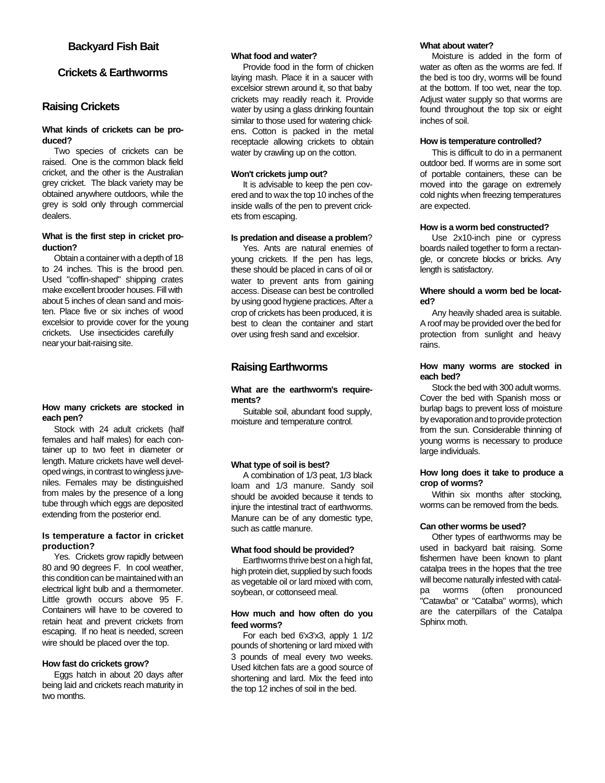# **Backyard Fish Bait**

# **Crickets & Earthworms**

## **Raising Crickets**

### **What kinds of crickets can be produced?**

Two species of crickets can be raised. One is the common black field cricket, and the other is the Australian grey cricket. The black variety may be obtained anywhere outdoors, while the grey is sold only through commercial dealers.

#### **What is the first step in cricket production?**

Obtain a container with a depth of 18 to 24 inches. This is the brood pen. Used "coffin-shaped" shipping crates make excellent brooder houses. Fill with about 5 inches of clean sand and moisten. Place five or six inches of wood excelsior to provide cover for the young crickets. Use insecticides carefully near your bait-raising site.

#### **How many crickets are stocked in each pen?**

Stock with 24 adult crickets (half females and half males) for each container up to two feet in diameter or length. Mature crickets have well developed wings, in contrast to wingless juveniles. Females may be distinguished from males by the presence of a long tube through which eggs are deposited extending from the posterior end.

## **Is temperature a factor in cricket production?**

Yes. Crickets grow rapidly between 80 and 90 degrees F. In cool weather, this condition can be maintained with an electrical light bulb and a thermometer. Little growth occurs above 95 F. Containers will have to be covered to retain heat and prevent crickets from escaping. If no heat is needed, screen wire should be placed over the top.

#### **How fast do crickets grow?**

Eggs hatch in about 20 days after being laid and crickets reach maturity in two months.

## **What food and water?**

Provide food in the form of chicken laying mash. Place it in a saucer with excelsior strewn around it, so that baby crickets may readily reach it. Provide water by using a glass drinking fountain similar to those used for watering chickens. Cotton is packed in the metal receptacle allowing crickets to obtain water by crawling up on the cotton.

#### **Won't crickets jump out?**

It is advisable to keep the pen covered and to wax the top 10 inches of the inside walls of the pen to prevent crickets from escaping.

## **Is predation and disease a problem**?

Yes. Ants are natural enemies of young crickets. If the pen has legs, these should be placed in cans of oil or water to prevent ants from gaining access. Disease can best be controlled by using good hygiene practices. After a crop of crickets has been produced, it is best to clean the container and start over using fresh sand and excelsior.

# **Raising Earthworms**

### **What are the earthworm's requirements?**

Suitable soil, abundant food supply, moisture and temperature control.

## **What type of soil is best?**

A combination of 1/3 peat, 1/3 black loam and 1/3 manure. Sandy soil should be avoided because it tends to injure the intestinal tract of earthworms. Manure can be of any domestic type, such as cattle manure.

#### **What food should be provided?**

Earthworms thrive best on a high fat, high protein diet, supplied by such foods as vegetable oil or lard mixed with corn, soybean, or cottonseed meal.

#### **How much and how often do you feed worms?**

For each bed 6'x3'x3, apply 1 1/2 pounds of shortening or lard mixed with 3 pounds of meal every two weeks. Used kitchen fats are a good source of shortening and lard. Mix the feed into the top 12 inches of soil in the bed.

## **What about water?**

Moisture is added in the form of water as often as the worms are fed. If the bed is too dry, worms will be found at the bottom. If too wet, near the top. Adjust water supply so that worms are found throughout the top six or eight inches of soil.

## **How is temperature controlled?**

This is difficult to do in a permanent outdoor bed. If worms are in some sort of portable containers, these can be moved into the garage on extremely cold nights when freezing temperatures are expected.

## **How is a worm bed constructed?**

Use 2x10-inch pine or cypress boards nailed together to form a rectangle, or concrete blocks or bricks. Any length is satisfactory.

#### **Where should a worm bed be located?**

Any heavily shaded area is suitable. A roof may be provided over the bed for protection from sunlight and heavy rains.

#### **How many worms are stocked in each bed?**

Stock the bed with 300 adult worms. Cover the bed with Spanish moss or burlap bags to prevent loss of moisture by evaporation and to provide protection from the sun. Considerable thinning of young worms is necessary to produce large individuals.

#### **How long does it take to produce a crop of worms?**

Within six months after stocking, worms can be removed from the beds.

#### **Can other worms be used?**

Other types of earthworms may be used in backyard bait raising. Some fishermen have been known to plant catalpa trees in the hopes that the tree will become naturally infested with catalpa worms (often pronounced "Catawba" or "Catalba" worms), which are the caterpillars of the Catalpa Sphinx moth.